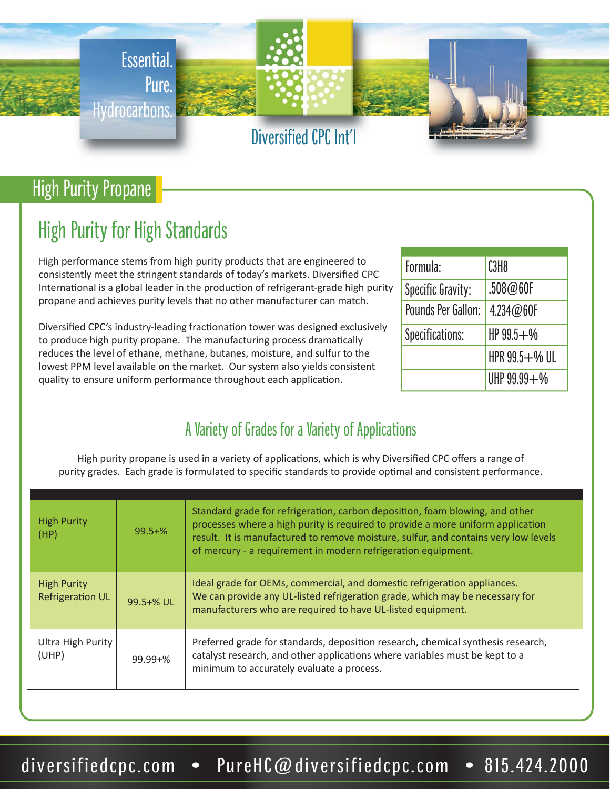

# High Purity Propane

# High Purity for High Standards

High performance stems from high purity products that are engineered to consistently meet the stringent standards of today's markets. Diversified CPC International is a global leader in the production of refrigerant-grade high purity propane and achieves purity levels that no other manufacturer can match.

Diversified CPC's industry-leading fractionation tower was designed exclusively to produce high purity propane. The manufacturing process dramatically reduces the level of ethane, methane, butanes, moisture, and sulfur to the lowest PPM level available on the market. Our system also yields consistent quality to ensure uniform performance throughout each application.

| Formula:           | C <sub>3</sub> H <sub>8</sub> |  |
|--------------------|-------------------------------|--|
| Specific Gravity:  | .508@60F                      |  |
| Pounds Per Gallon: | 4.234@60F                     |  |
| Specifications:    | $HP99.5 + W$                  |  |
|                    | HPR 99.5+% UL                 |  |
|                    | UHP 99.99+%                   |  |

## A Variety of Grades for a Variety of Applications

High purity propane is used in a variety of applications, which is why Diversified CPC offers a range of purity grades. Each grade is formulated to specific standards to provide optimal and consistent performance.

| <b>High Purity</b><br>(HP)                    | $99.5 + \%$  | Standard grade for refrigeration, carbon deposition, foam blowing, and other<br>processes where a high purity is required to provide a more uniform application<br>result. It is manufactured to remove moisture, sulfur, and contains very low levels<br>of mercury - a requirement in modern refrigeration equipment. |
|-----------------------------------------------|--------------|-------------------------------------------------------------------------------------------------------------------------------------------------------------------------------------------------------------------------------------------------------------------------------------------------------------------------|
| <b>High Purity</b><br><b>Refrigeration UL</b> | 99.5+% UL    | Ideal grade for OEMs, commercial, and domestic refrigeration appliances.<br>We can provide any UL-listed refrigeration grade, which may be necessary for<br>manufacturers who are required to have UL-listed equipment.                                                                                                 |
| Ultra High Purity<br>(UHP)                    | $99.99 + \%$ | Preferred grade for standards, deposition research, chemical synthesis research,<br>catalyst research, and other applications where variables must be kept to a<br>minimum to accurately evaluate a process.                                                                                                            |